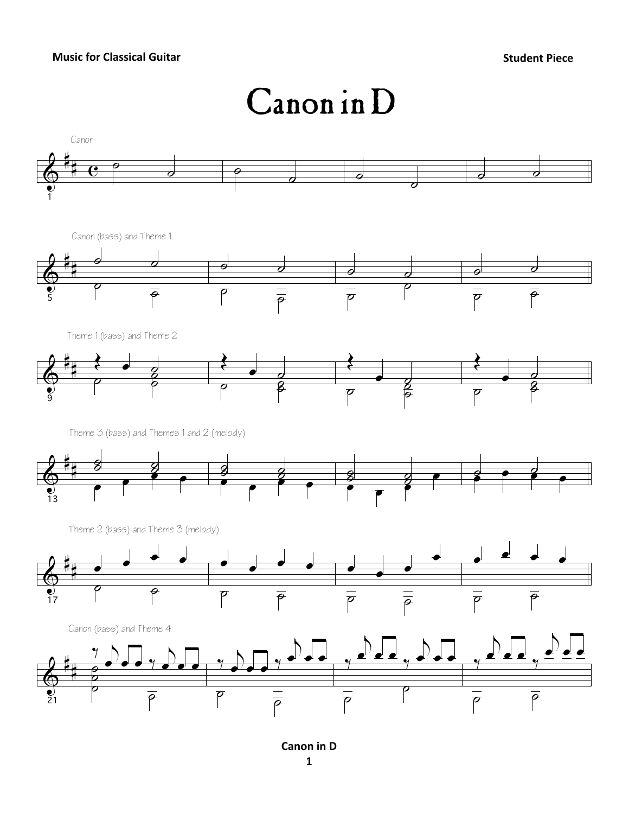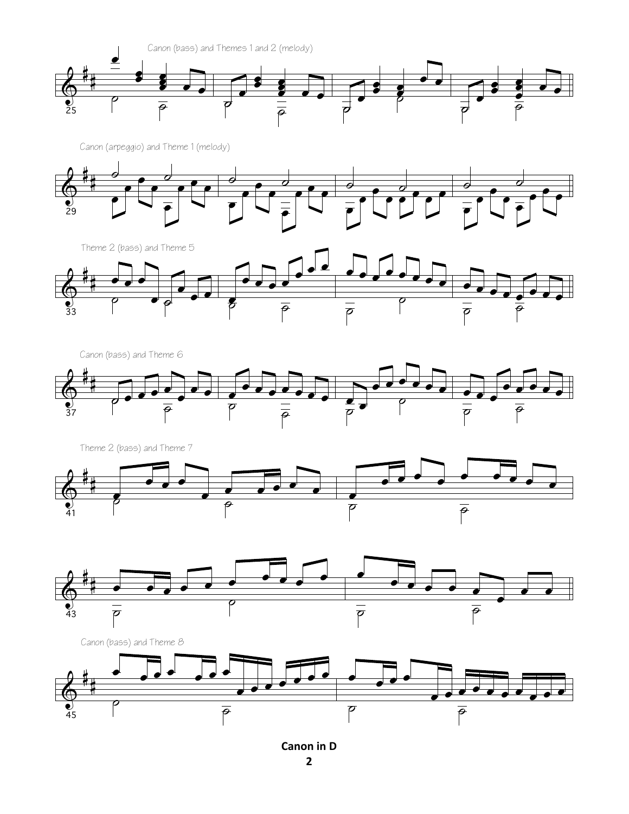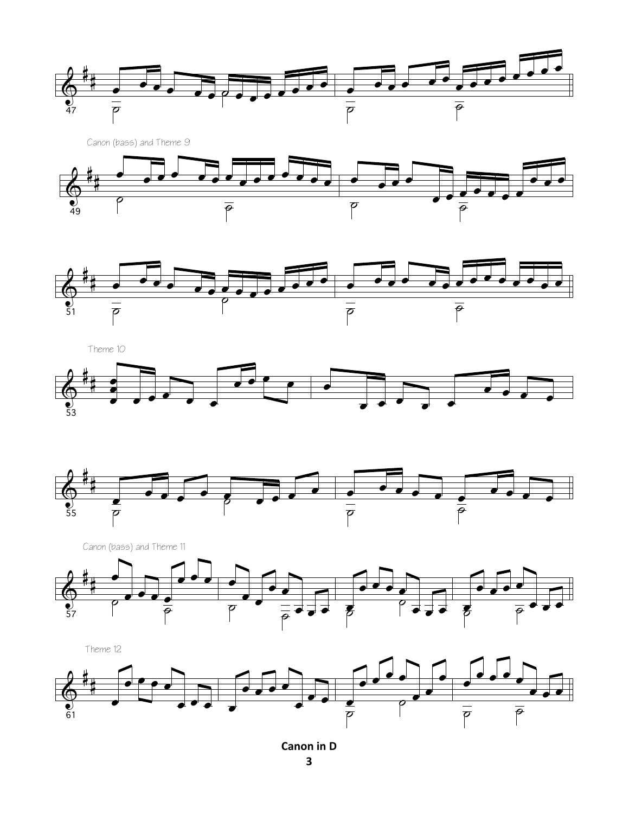





Theme 10





 $\&$ # 57 œ . . . <u>.</u> **L** ˙  $\frac{\bullet}{\rho}$ œ  $\overline{\cdot}$ œ œ  $\overline{p}$   $\overline{p}$   $\overline{p}$   $\overline{p}$   $\overline{p}$   $\overline{p}$   $\overline{p}$   $\overline{p}$   $\overline{p}$   $\overline{p}$   $\overline{p}$   $\overline{p}$   $\overline{p}$   $\overline{p}$   $\overline{p}$   $\overline{p}$   $\overline{p}$   $\overline{p}$   $\overline{p}$   $\overline{p}$   $\overline{p}$   $\overline{p}$   $\overline{p}$   $\overline{p}$   $\overline{$ e<br>B  $\overrightarrow{•}$  $\frac{1}{2}$   $\frac{1}{2}$   $\frac{1}{2}$   $\frac{1}{2}$   $\frac{1}{2}$   $\frac{1}{2}$   $\frac{1}{2}$   $\frac{1}{2}$   $\frac{1}{2}$   $\frac{1}{2}$   $\frac{1}{2}$   $\frac{1}{2}$   $\frac{1}{2}$   $\frac{1}{2}$   $\frac{1}{2}$   $\frac{1}{2}$   $\frac{1}{2}$   $\frac{1}{2}$   $\frac{1}{2}$   $\frac{1}{2}$   $\frac{1}{2}$   $\frac{1}{2}$   $\overrightarrow{e}$   $\overrightarrow{e}$   $\overrightarrow{e}$   $\overrightarrow{e}$  $\bullet$   $\bullet$   $\bullet$  $\begin{tabular}{|c|c|} \hline \multicolumn{3}{|c|}{\textbf{+}} & \multicolumn{3}{|c|}{\textbf{+}} \\ \hline \multicolumn{3}{|c|}{\textbf{+}} & \multicolumn{3}{|c|}{\textbf{+}} \\ \hline \multicolumn{3}{|c|}{\textbf{+}} & \multicolumn{3}{|c|}{\textbf{+}} \\ \hline \multicolumn{3}{|c|}{\textbf{+}} & \multicolumn{3}{|c|}{\textbf{+}} \\ \hline \multicolumn{3}{|c|}{\textbf{+}} & \multicolumn{3}{|c|}{\textbf{+}} \\ \hline \multicolumn{3}{|c|$  $\overline{\mathbf{z}}$   $\overline{\mathbf{z}}$ Canon (bass) and Theme 11

Theme 12



**Canon in D**